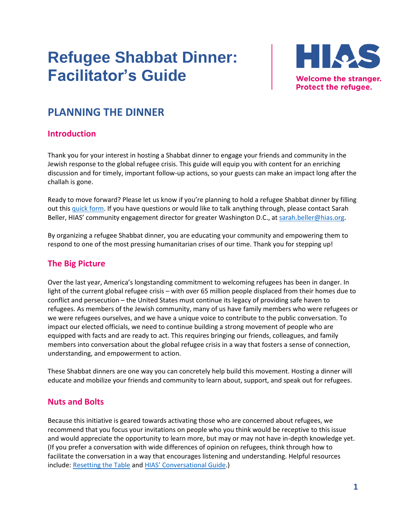# **Refugee Shabbat Dinner: Facilitator's Guide**



# **PLANNING THE DINNER**

# **Introduction**

Thank you for your interest in hosting a Shabbat dinner to engage your friends and community in the Jewish response to the global refugee crisis. This guide will equip you with content for an enriching discussion and for timely, important follow-up actions, so your guests can make an impact long after the challah is gone.

Ready to move forward? Please let us know if you're planning to hold a refugee Shabbat dinner by filling out thi[s quick form.](https://docs.google.com/forms/d/e/1FAIpQLSfXklZvkJ1oNe8S8LZlAgh6WWuT_mcE5M2KHwdyyA2BdeYABw/viewform?usp=sf_link) If you have questions or would like to talk anything through, please contact Sarah Beller, HIAS' community engagement director for greater Washington D.C., at [sarah.beller@hias.org.](mailto:sarah.beller@hias.org)

By organizing a refugee Shabbat dinner, you are educating your community and empowering them to respond to one of the most pressing humanitarian crises of our time. Thank you for stepping up!

# **The Big Picture**

Over the last year, America's longstanding commitment to welcoming refugees has been in danger. In light of the current global refugee crisis – with over 65 million people displaced from their homes due to conflict and persecution – the United States must continue its legacy of providing safe haven to refugees. As members of the Jewish community, many of us have family members who were refugees or we were refugees ourselves, and we have a unique voice to contribute to the public conversation. To impact our elected officials, we need to continue building a strong movement of people who are equipped with facts and are ready to act. This requires bringing our friends, colleagues, and family members into conversation about the global refugee crisis in a way that fosters a sense of connection, understanding, and empowerment to action.

These Shabbat dinners are one way you can concretely help build this movement. Hosting a dinner will educate and mobilize your friends and community to learn about, support, and speak out for refugees.

# **Nuts and Bolts**

Because this initiative is geared towards activating those who are concerned about refugees, we recommend that you focus your invitations on people who you think would be receptive to this issue and would appreciate the opportunity to learn more, but may or may not have in-depth knowledge yet. (If you prefer a conversation with wide differences of opinion on refugees, think through how to facilitate the conversation in a way that encourages listening and understanding. Helpful resources include: [Resetting the Table](http://civility.jewishpublicaffairs.org/resetting-the-table/) and [HIAS' Conversational Guide](https://www.hias.org/sites/default/files/conversational_guide_to_how_to_talk_about_refugees_with_family_and_friends.pdf).)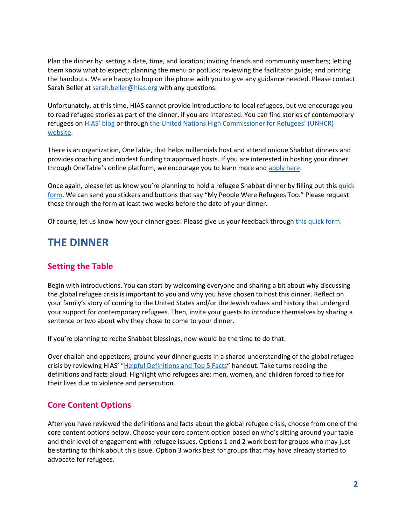Plan the dinner by: setting a date, time, and location; inviting friends and community members; letting them know what to expect; planning the menu or potluck; reviewing the facilitator guide; and printing the handouts. We are happy to hop on the phone with you to give any guidance needed. Please contact Sarah Beller a[t sarah.beller@hias.org](mailto:sarah.beller@hias.org) with any questions.

Unfortunately, at this time, HIAS cannot provide introductions to local refugees, but we encourage you to read refugee stories as part of the dinner, if you are interested. You can find stories of contemporary refugees on [HIAS' blog](https://www.hias.org/blog) or through [the United Nations High Commissioner for Refugees' \(UNHCR\)](http://stories.unhcr.org/)  [website.](http://stories.unhcr.org/)

There is an organization, OneTable, that helps millennials host and attend unique Shabbat dinners and provides coaching and modest funding to approved hosts. If you are interested in hosting your dinner through OneTable's online platform, we encourage you to learn more and [apply here.](https://onetable.org/become-a-host/)

Once again, please let us know you're planning to hold a refugee Shabbat dinner by filling out thi[s quick](https://docs.google.com/forms/d/e/1FAIpQLSfXklZvkJ1oNe8S8LZlAgh6WWuT_mcE5M2KHwdyyA2BdeYABw/viewform?usp=sf_link)  [form.](https://docs.google.com/forms/d/e/1FAIpQLSfXklZvkJ1oNe8S8LZlAgh6WWuT_mcE5M2KHwdyyA2BdeYABw/viewform?usp=sf_link) We can send you stickers and buttons that say "My People Were Refugees Too." Please request these through the form at least two weeks before the date of your dinner.

Of course, let us know how your dinner goes! Please give us your feedback through [this quick form.](https://docs.google.com/forms/d/e/1FAIpQLSdOHHtYamSyYRGdQDhvtZY1TIuag06poNsZuwYcDmwIGbguoA/viewform)

# **THE DINNER**

# **Setting the Table**

Begin with introductions. You can start by welcoming everyone and sharing a bit about why discussing the global refugee crisis is important to you and why you have chosen to host this dinner. Reflect on your family's story of coming to the United States and/or the Jewish values and history that undergird your support for contemporary refugees. Then, invite your guests to introduce themselves by sharing a sentence or two about why they chose to come to your dinner.

If you're planning to recite Shabbat blessings, now would be the time to do that.

Over challah and appetizers, ground your dinner guests in a shared understanding of the global refugee crisis by reviewing HIAS' "[Helpful Definitions and Top 5 Facts](https://www.hias.org/sites/default/files/definitions_and_top_5_facts.pdf)" handout. Take turns reading the definitions and facts aloud. Highlight who refugees are: men, women, and children forced to flee for their lives due to violence and persecution.

### **Core Content Options**

After you have reviewed the definitions and facts about the global refugee crisis, choose from one of the core content options below. Choose your core content option based on who's sitting around your table and their level of engagement with refugee issues. Options 1 and 2 work best for groups who may just be starting to think about this issue. Option 3 works best for groups that may have already started to advocate for refugees.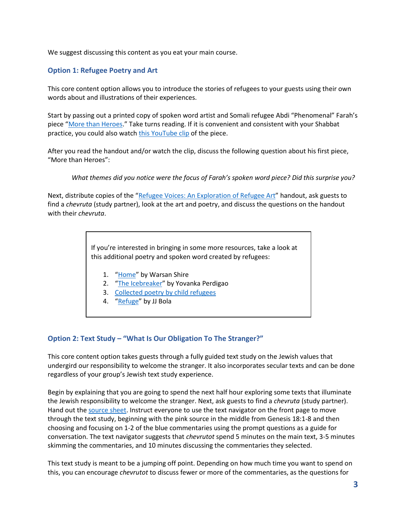We suggest discussing this content as you eat your main course.

#### **Option 1: Refugee Poetry and Art**

This core content option allows you to introduce the stories of refugees to your guests using their own words about and illustrations of their experiences.

Start by passing out a printed copy of spoken word artist and Somali refugee Abdi "Phenomenal" Farah's piece "[More than Heroes](https://www.hias.org/sites/default/files/abdi_phenomenal_farah_spoken_word.pdf)." Take turns reading. If it is convenient and consistent with your Shabbat practice, you could also watch [this YouTube clip](https://www.youtube.com/watch?v=FOBBWRfDiPU) of the piece.

After you read the handout and/or watch the clip, discuss the following question about his first piece, "More than Heroes":

*What themes did you notice were the focus of Farah's spoken word piece? Did this surprise you?*

Next, distribute copies of the "[Refugee Voices: An Exploration of Refugee Art](https://www.hias.org/sites/default/files/refugee_voices_-_an_exploration_of_refugee_art.pdf)" handout, ask guests to find a *chevruta* (study partner), look at the art and poetry, and discuss the questions on the handout with their *chevruta*.

> If you're interested in bringing in some more resources, take a look at this additional poetry and spoken word created by refugees:

- 1. "[Home](http://seekershub.org/blog/2015/09/home-warsan-shire/)" by Warsan Shire
- 2. "[The Icebreaker](http://brittlepaper.com/2015/11/icebreaker-yovanka-paquete-perdigao-african-poem/)" by Yovanka Perdigao
- 3. [Collected poetry by child refugees](http://www.unhcr.ca/wp-content/uploads/2014/10/poetry_book.pdf)
- 4. "[Refuge](https://www.youtube.com/watch?v=0uWqV31QqLo)" by JJ Bola

#### **Option 2: Text Study – "What Is Our Obligation To The Stranger?"**

This core content option takes guests through a fully guided text study on the Jewish values that undergird our responsibility to welcome the stranger. It also incorporates secular texts and can be done regardless of your group's Jewish text study experience.

Begin by explaining that you are going to spend the next half hour exploring some texts that illuminate the Jewish responsibility to welcome the stranger. Next, ask guests to find a *chevruta* (study partner). Hand out th[e source sheet.](https://www.hias.org/sites/default/files/text_study_-_what_is_our_obligation_to_the_stranger.pdf) Instruct everyone to use the text navigator on the front page to move through the text study, beginning with the pink source in the middle from Genesis 18:1-8 and then choosing and focusing on 1-2 of the blue commentaries using the prompt questions as a guide for conversation. The text navigator suggests that *chevrutot* spend 5 minutes on the main text, 3-5 minutes skimming the commentaries, and 10 minutes discussing the commentaries they selected.

This text study is meant to be a jumping off point. Depending on how much time you want to spend on this, you can encourage *chevrutot* to discuss fewer or more of the commentaries, as the questions for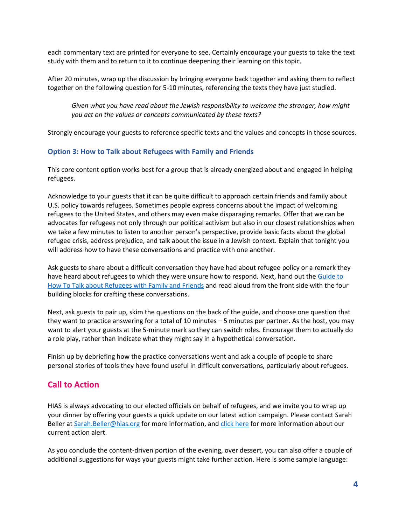each commentary text are printed for everyone to see. Certainly encourage your guests to take the text study with them and to return to it to continue deepening their learning on this topic.

After 20 minutes, wrap up the discussion by bringing everyone back together and asking them to reflect together on the following question for 5-10 minutes, referencing the texts they have just studied.

*Given what you have read about the Jewish responsibility to welcome the stranger, how might you act on the values or concepts communicated by these texts?* 

Strongly encourage your guests to reference specific texts and the values and concepts in those sources.

#### **Option 3: How to Talk about Refugees with Family and Friends**

This core content option works best for a group that is already energized about and engaged in helping refugees.

Acknowledge to your guests that it can be quite difficult to approach certain friends and family about U.S. policy towards refugees. Sometimes people express concerns about the impact of welcoming refugees to the United States, and others may even make disparaging remarks. Offer that we can be advocates for refugees not only through our political activism but also in our closest relationships when we take a few minutes to listen to another person's perspective, provide basic facts about the global refugee crisis, address prejudice, and talk about the issue in a Jewish context. Explain that tonight you will address how to have these conversations and practice with one another.

Ask guests to share about a difficult conversation they have had about refugee policy or a remark they have heard about refugees to which they were unsure how to respond. Next, hand out the Guide to [How To Talk about Refugees with Family and Friends](https://www.hias.org/sites/default/files/conversational_guide_to_how_to_talk_about_refugees_with_family_and_friends.pdf) and read aloud from the front side with the four building blocks for crafting these conversations.

Next, ask guests to pair up, skim the questions on the back of the guide, and choose one question that they want to practice answering for a total of 10 minutes – 5 minutes per partner. As the host, you may want to alert your guests at the 5-minute mark so they can switch roles. Encourage them to actually do a role play, rather than indicate what they might say in a hypothetical conversation.

Finish up by debriefing how the practice conversations went and ask a couple of people to share personal stories of tools they have found useful in difficult conversations, particularly about refugees.

### **Call to Action**

HIAS is always advocating to our elected officials on behalf of refugees, and we invite you to wrap up your dinner by offering your guests a quick update on our latest action campaign. Please contact Sarah Beller a[t Sarah.Beller@hias.org](mailto:Sarah.Beller@hias.org) for more information, and [click](http://www.hias.org/take-action) here for more information about our current action alert.

As you conclude the content-driven portion of the evening, over dessert, you can also offer a couple of additional suggestions for ways your guests might take further action. Here is some sample language: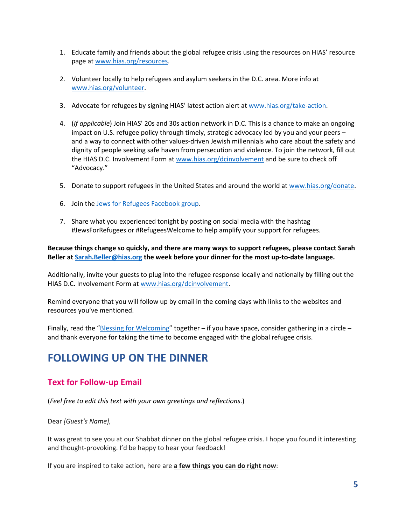- 1. Educate family and friends about the global refugee crisis using the resources on HIAS' resource page a[t www.hias.org/resources.](http://www.hias.org/resources)
- 2. Volunteer locally to help refugees and asylum seekers in the D.C. area. More info at [www.hias.org/volunteer.](http://www.hias.org/volunteer)
- 3. Advocate for refugees by signing HIAS' latest action alert at [www.hias.org/take-action.](http://www.hias.org/take-action)
- 4. (*If applicable*) Join HIAS' 20s and 30s action network in D.C. This is a chance to make an ongoing impact on U.S. refugee policy through timely, strategic advocacy led by you and your peers – and a way to connect with other values-driven Jewish millennials who care about the safety and dignity of people seeking safe haven from persecution and violence. To join the network, fill out the HIAS D.C. Involvement Form a[t www.hias.org/dcinvolvement](http://www.hias.org/dcinvolvement) and be sure to check off "Advocacy."
- 5. Donate to support refugees in the United States and around the world at [www.hias.org/donate.](http://www.hias.org/donate)
- 6. Join th[e Jews for Refugees Facebook group.](https://www.facebook.com/groups/1180039398716328/)
- 7. Share what you experienced tonight by posting on social media with the hashtag #JewsForRefugees or #RefugeesWelcome to help amplify your support for refugees.

#### **Because things change so quickly, and there are many ways to support refugees, please contact Sarah Beller at [Sarah.Beller@hias.org](mailto:Sarah.Beller@hias.org) the week before your dinner for the most up-to-date language.**

Additionally, invite your guests to plug into the refugee response locally and nationally by filling out the HIAS D.C. Involvement Form at [www.hias.org/dcinvolvement.](http://www.hias.org/dcinvolvement)

Remind everyone that you will follow up by email in the coming days with links to the websites and resources you've mentioned.

Finally, read the "[Blessing for Welcoming](https://www.hias.org/sites/default/files/blessing_for_welcoming.pdf)" together – if you have space, consider gathering in a circle – and thank everyone for taking the time to become engaged with the global refugee crisis.

# **FOLLOWING UP ON THE DINNER**

### **Text for Follow-up Email**

(*Feel free to edit this text with your own greetings and reflections*.)

Dear *[Guest's Name],*

It was great to see you at our Shabbat dinner on the global refugee crisis. I hope you found it interesting and thought-provoking. I'd be happy to hear your feedback!

If you are inspired to take action, here are **a few things you can do right now**: